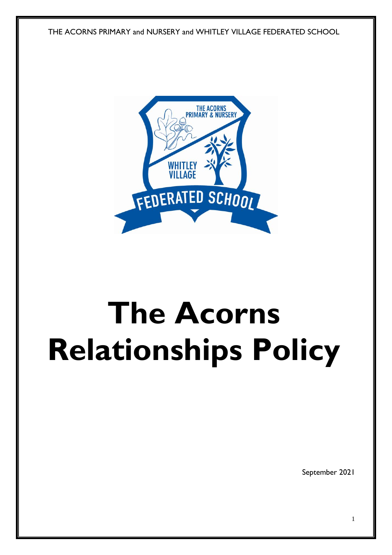THE ACORNS PRIMARY and NURSERY and WHITLEY VILLAGE FEDERATED SCHOOL



# **The Acorns Relationships Policy**

September 2021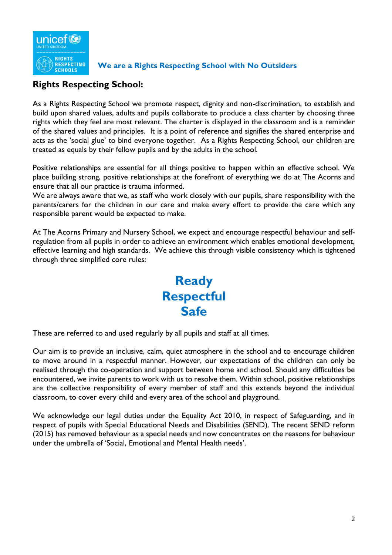

#### **We are a Rights Respecting School with No Outsiders**

## **Rights Respecting School:**

As a Rights Respecting School we promote respect, dignity and non-discrimination, to establish and build upon shared values, adults and pupils collaborate to produce a class charter by choosing three rights which they feel are most relevant. The charter is displayed in the classroom and is a reminder of the shared values and principles. It is a point of reference and signifies the shared enterprise and acts as the 'social glue' to bind everyone together. As a Rights Respecting School, our children are treated as equals by their fellow pupils and by the adults in the school.

Positive relationships are essential for all things positive to happen within an effective school. We place building strong, positive relationships at the forefront of everything we do at The Acorns and ensure that all our practice is trauma informed.

We are always aware that we, as staff who work closely with our pupils, share responsibility with the parents/carers for the children in our care and make every effort to provide the care which any responsible parent would be expected to make.

At The Acorns Primary and Nursery School, we expect and encourage respectful behaviour and selfregulation from all pupils in order to achieve an environment which enables emotional development, effective learning and high standards. We achieve this through visible consistency which is tightened through three simplified core rules:



These are referred to and used regularly by all pupils and staff at all times.

Our aim is to provide an inclusive, calm, quiet atmosphere in the school and to encourage children to move around in a respectful manner. However, our expectations of the children can only be realised through the co-operation and support between home and school. Should any difficulties be encountered, we invite parents to work with us to resolve them. Within school, positive relationships are the collective responsibility of every member of staff and this extends beyond the individual classroom, to cover every child and every area of the school and playground.

We acknowledge our legal duties under the Equality Act 2010, in respect of Safeguarding, and in respect of pupils with Special Educational Needs and Disabilities (SEND). The recent SEND reform (2015) has removed behaviour as a special needs and now concentrates on the reasons for behaviour under the umbrella of 'Social, Emotional and Mental Health needs'.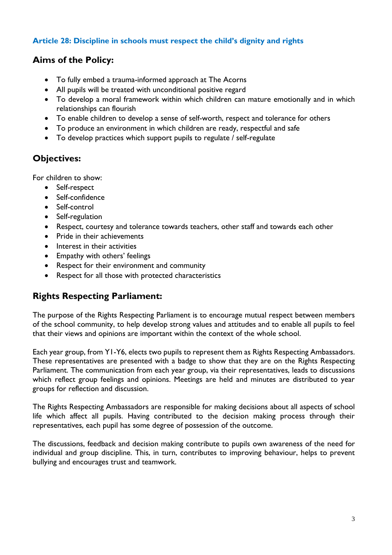#### **Article 28: Discipline in schools must respect the child's dignity and rights**

## **Aims of the Policy:**

- To fully embed a trauma-informed approach at The Acorns
- All pupils will be treated with unconditional positive regard
- To develop a moral framework within which children can mature emotionally and in which relationships can flourish
- To enable children to develop a sense of self-worth, respect and tolerance for others
- To produce an environment in which children are ready, respectful and safe
- To develop practices which support pupils to regulate / self-regulate

# **Objectives:**

For children to show:

- Self-respect
- Self-confidence
- Self-control
- Self-regulation
- Respect, courtesy and tolerance towards teachers, other staff and towards each other
- Pride in their achievements
- Interest in their activities
- Empathy with others' feelings
- Respect for their environment and community
- Respect for all those with protected characteristics

# **Rights Respecting Parliament:**

The purpose of the Rights Respecting Parliament is to encourage mutual respect between members of the school community, to help develop strong values and attitudes and to enable all pupils to feel that their views and opinions are important within the context of the whole school.

Each year group, from Y1-Y6, elects two pupils to represent them as Rights Respecting Ambassadors. These representatives are presented with a badge to show that they are on the Rights Respecting Parliament. The communication from each year group, via their representatives, leads to discussions which reflect group feelings and opinions. Meetings are held and minutes are distributed to year groups for reflection and discussion.

The Rights Respecting Ambassadors are responsible for making decisions about all aspects of school life which affect all pupils. Having contributed to the decision making process through their representatives, each pupil has some degree of possession of the outcome.

The discussions, feedback and decision making contribute to pupils own awareness of the need for individual and group discipline. This, in turn, contributes to improving behaviour, helps to prevent bullying and encourages trust and teamwork.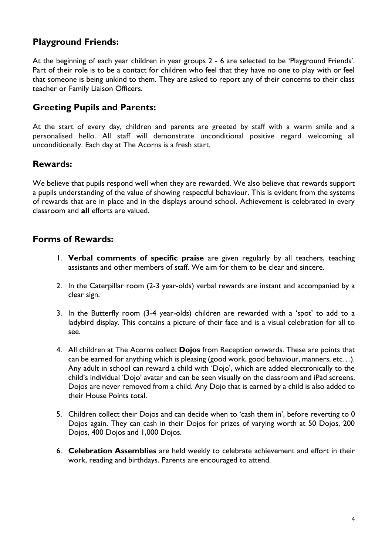## **Playground Friends:**

At the beginning of each year children in year groups 2 - 6 are selected to be 'Playground Friends'. Part of their role is to be a contact for children who feel that they have no one to play with or feel that someone is being unkind to them. They are asked to report any of their concerns to their class teacher or Family Liaison Officers.

## **Greeting Pupils and Parents:**

At the start of every day, children and parents are greeted by staff with a warm smile and a personalised hello. All staff will demonstrate unconditional positive regard welcoming all unconditionally. Each day at The Acorns is a fresh start.

## **Rewards:**

We believe that pupils respond well when they are rewarded. We also believe that rewards support a pupils understanding of the value of showing respectful behaviour. This is evident from the systems of rewards that are in place and in the displays around school. Achievement is celebrated in every classroom and **all** efforts are valued.

## **Forms of Rewards:**

- 1. **Verbal comments of specific praise** are given regularly by all teachers, teaching assistants and other members of staff. We aim for them to be clear and sincere.
- 2. In the Caterpillar room (2-3 year-olds) verbal rewards are instant and accompanied by a clear sign.
- 3. In the Butterfly room (3-4 year-olds) children are rewarded with a 'spot' to add to a ladybird display. This contains a picture of their face and is a visual celebration for all to see.
- 4. All children at The Acorns collect **Dojos** from Reception onwards. These are points that can be earned for anything which is pleasing (good work, good behaviour, manners, etc…). Any adult in school can reward a child with 'Dojo', which are added electronically to the child's individual 'Dojo' avatar and can be seen visually on the classroom and iPad screens. Dojos are never removed from a child. Any Dojo that is earned by a child is also added to their House Points total.
- 5. Children collect their Dojos and can decide when to 'cash them in', before reverting to 0 Dojos again. They can cash in their Dojos for prizes of varying worth at 50 Dojos, 200 Dojos, 400 Dojos and 1,000 Dojos.
- 6. **Celebration Assemblies** are held weekly to celebrate achievement and effort in their work, reading and birthdays. Parents are encouraged to attend.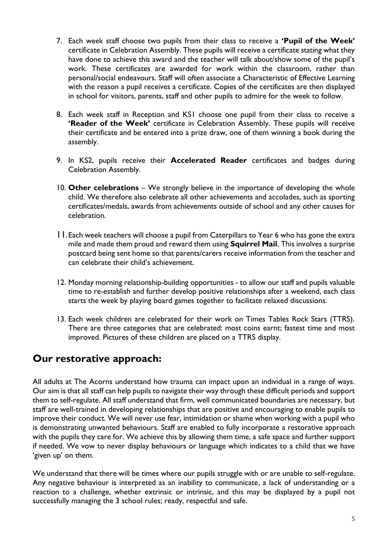- 7. Each week staff choose two pupils from their class to receive a **'Pupil of the Week'** certificate in Celebration Assembly. These pupils will receive a certificate stating what they have done to achieve this award and the teacher will talk about/show some of the pupil's work. These certificates are awarded for work within the classroom, rather than personal/social endeavours. Staff will often associate a Characteristic of Effective Learning with the reason a pupil receives a certificate. Copies of the certificates are then displayed in school for visitors, parents, staff and other pupils to admire for the week to follow.
- 8. Each week staff in Reception and KS1 choose one pupil from their class to receive a **'Reader of the Week'** certificate in Celebration Assembly. These pupils will receive their certificate and be entered into a prize draw, one of them winning a book during the assembly.
- 9. In KS2, pupils receive their **Accelerated Reader** certificates and badges during Celebration Assembly.
- 10. **Other celebrations** We strongly believe in the importance of developing the whole child. We therefore also celebrate all other achievements and accolades, such as sporting certificates/medals, awards from achievements outside of school and any other causes for celebration.
- 11.Each week teachers will choose a pupil from Caterpillars to Year 6 who has gone the extra mile and made them proud and reward them using **Squirrel Mail**. This involves a surprise postcard being sent home so that parents/carers receive information from the teacher and can celebrate their child's achievement.
- 12. Monday morning relationship-building opportunities to allow our staff and pupils valuable time to re-establish and further develop positive relationships after a weekend, each class starts the week by playing board games together to facilitate relaxed discussions.
- 13. Each week children are celebrated for their work on Times Tables Rock Stars (TTRS). There are three categories that are celebrated: most coins earnt; fastest time and most improved. Pictures of these children are placed on a TTRS display.

# **Our restorative approach:**

All adults at The Acorns understand how trauma can impact upon an individual in a range of ways. Our aim is that all staff can help pupils to navigate their way through these difficult periods and support them to self-regulate. All staff understand that firm, well communicated boundaries are necessary, but staff are well-trained in developing relationships that are positive and encouraging to enable pupils to improve their conduct. We will never use fear, intimidation or shame when working with a pupil who is demonstrating unwanted behaviours. Staff are enabled to fully incorporate a restorative approach with the pupils they care for. We achieve this by allowing them time, a safe space and further support if needed. We vow to never display behaviours or language which indicates to a child that we have 'given up' on them.

We understand that there will be times where our pupils struggle with or are unable to self-regulate. Any negative behaviour is interpreted as an inability to communicate, a lack of understanding or a reaction to a challenge, whether extrinsic or intrinsic, and this may be displayed by a pupil not successfully managing the 3 school rules; ready, respectful and safe.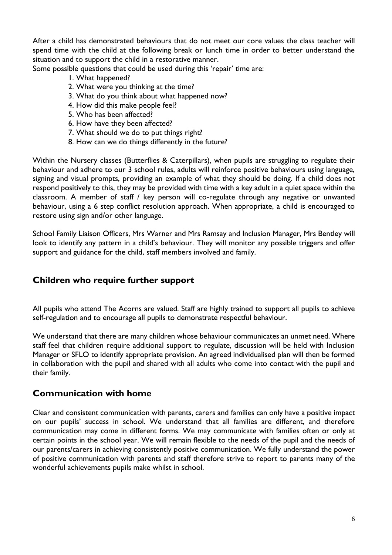After a child has demonstrated behaviours that do not meet our core values the class teacher will spend time with the child at the following break or lunch time in order to better understand the situation and to support the child in a restorative manner.

Some possible questions that could be used during this 'repair' time are:

- 1. What happened?
- 2. What were you thinking at the time?
- 3. What do you think about what happened now?
- 4. How did this make people feel?
- 5. Who has been affected?
- 6. How have they been affected?
- 7. What should we do to put things right?
- 8. How can we do things differently in the future?

Within the Nursery classes (Butterflies & Caterpillars), when pupils are struggling to regulate their behaviour and adhere to our 3 school rules, adults will reinforce positive behaviours using language, signing and visual prompts, providing an example of what they should be doing. If a child does not respond positively to this, they may be provided with time with a key adult in a quiet space within the classroom. A member of staff / key person will co-regulate through any negative or unwanted behaviour, using a 6 step conflict resolution approach. When appropriate, a child is encouraged to restore using sign and/or other language.

School Family Liaison Officers, Mrs Warner and Mrs Ramsay and Inclusion Manager, Mrs Bentley will look to identify any pattern in a child's behaviour. They will monitor any possible triggers and offer support and guidance for the child, staff members involved and family.

## **Children who require further support**

All pupils who attend The Acorns are valued. Staff are highly trained to support all pupils to achieve self-regulation and to encourage all pupils to demonstrate respectful behaviour.

We understand that there are many children whose behaviour communicates an unmet need. Where staff feel that children require additional support to regulate, discussion will be held with Inclusion Manager or SFLO to identify appropriate provision. An agreed individualised plan will then be formed in collaboration with the pupil and shared with all adults who come into contact with the pupil and their family.

## **Communication with home**

Clear and consistent communication with parents, carers and families can only have a positive impact on our pupils' success in school. We understand that all families are different, and therefore communication may come in different forms. We may communicate with families often or only at certain points in the school year. We will remain flexible to the needs of the pupil and the needs of our parents/carers in achieving consistently positive communication. We fully understand the power of positive communication with parents and staff therefore strive to report to parents many of the wonderful achievements pupils make whilst in school.